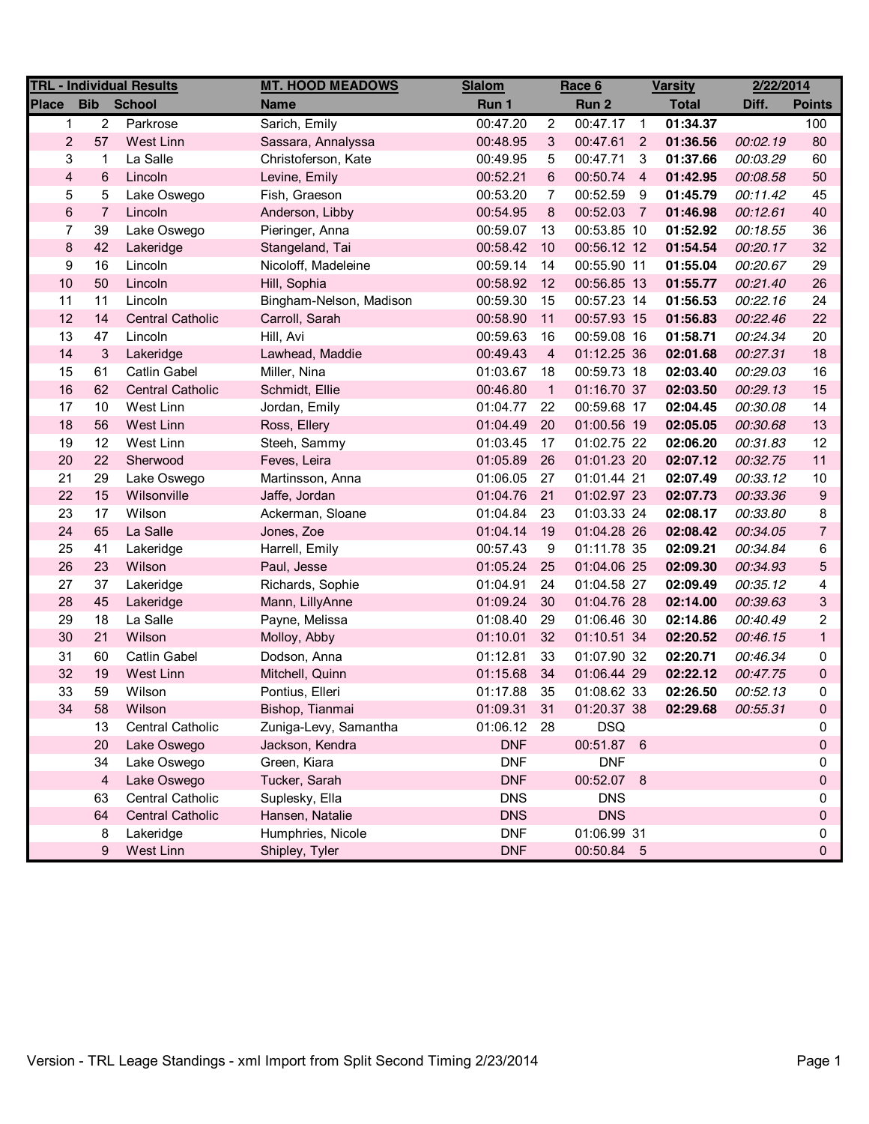| <b>TRL - Individual Results</b> |                |                         | <b>MT. HOOD MEADOWS</b> | <b>Slalom</b> | Race 6                     |             | <b>Varsity</b> |              | 2/22/2014 |                |
|---------------------------------|----------------|-------------------------|-------------------------|---------------|----------------------------|-------------|----------------|--------------|-----------|----------------|
| <b>Place</b>                    | <b>Bib</b>     | <b>School</b>           | <b>Name</b>             | Run 1         |                            | Run 2       |                | <b>Total</b> | Diff.     | <b>Points</b>  |
| 1                               | $\overline{2}$ | Parkrose                | Sarich, Emily           | 00:47.20      | 2                          | 00:47.17    | $\overline{1}$ | 01:34.37     |           | 100            |
| $\overline{2}$                  | 57             | West Linn               | Sassara, Annalyssa      | 00:48.95      | 3                          | 00:47.61    | $\overline{2}$ | 01:36.56     | 00:02.19  | 80             |
| 3                               | 1              | La Salle                | Christoferson, Kate     | 00:49.95      | 5                          | 00:47.71    | 3              | 01:37.66     | 00:03.29  | 60             |
| $\overline{\mathbf{4}}$         | 6              | Lincoln                 | Levine, Emily           | 00:52.21      | 6                          | 00:50.74    | $\overline{4}$ | 01:42.95     | 00:08.58  | 50             |
| 5                               | 5              | Lake Oswego             | Fish, Graeson           | 00:53.20      | 7                          | 00:52.59    | -9             | 01:45.79     | 00:11.42  | 45             |
| $\,6\,$                         | $\overline{7}$ | Lincoln                 | Anderson, Libby         | 00:54.95      | $\bf 8$                    | 00:52.03    | $\overline{7}$ | 01:46.98     | 00:12.61  | 40             |
| $\overline{7}$                  | 39             | Lake Oswego             | Pieringer, Anna         | 00:59.07      | 13                         | 00:53.85 10 |                | 01:52.92     | 00:18.55  | 36             |
| $\bf 8$                         | 42             | Lakeridge               | Stangeland, Tai         | 00:58.42      | 10                         | 00:56.12 12 |                | 01:54.54     | 00:20.17  | 32             |
| 9                               | 16             | Lincoln                 | Nicoloff, Madeleine     | 00:59.14      | 14                         | 00:55.90 11 |                | 01:55.04     | 00:20.67  | 29             |
| 10                              | 50             | Lincoln                 | Hill, Sophia            | 00:58.92      | 12                         | 00:56.85 13 |                | 01:55.77     | 00:21.40  | 26             |
| 11                              | 11             | Lincoln                 | Bingham-Nelson, Madison | 00:59.30      | 15                         | 00:57.23 14 |                | 01:56.53     | 00:22.16  | 24             |
| 12                              | 14             | <b>Central Catholic</b> | Carroll, Sarah          | 00:58.90      | 11                         | 00:57.93 15 |                | 01:56.83     | 00:22.46  | 22             |
| 13                              | 47             | Lincoln                 | Hill, Avi               | 00:59.63      | 16                         | 00:59.08 16 |                | 01:58.71     | 00:24.34  | 20             |
| 14                              | 3              | Lakeridge               | Lawhead, Maddie         | 00:49.43      | $\overline{4}$             | 01:12.25 36 |                | 02:01.68     | 00:27.31  | 18             |
| 15                              | 61             | <b>Catlin Gabel</b>     | Miller, Nina            | 01:03.67      | 18                         | 00:59.73 18 |                | 02:03.40     | 00:29.03  | 16             |
| 16                              | 62             | <b>Central Catholic</b> | Schmidt, Ellie          | 00:46.80      | $\overline{\phantom{0}}$ 1 | 01:16.70 37 |                | 02:03.50     | 00:29.13  | 15             |
| 17                              | $10$           | West Linn               | Jordan, Emily           | 01:04.77      | 22                         | 00:59.68 17 |                | 02:04.45     | 00:30.08  | 14             |
| 18                              | 56             | West Linn               | Ross, Ellery            | 01:04.49      | 20                         | 01:00.56 19 |                | 02:05.05     | 00:30.68  | 13             |
| 19                              | 12             | West Linn               | Steeh, Sammy            | 01:03.45      | 17                         | 01:02.75 22 |                | 02:06.20     | 00:31.83  | 12             |
| 20                              | 22             | Sherwood                | Feves, Leira            | 01:05.89      | 26                         | 01:01.23 20 |                | 02:07.12     | 00:32.75  | 11             |
| 21                              | 29             | Lake Oswego             | Martinsson, Anna        | 01:06.05      | 27                         | 01:01.44 21 |                | 02:07.49     | 00:33.12  | 10             |
| 22                              | 15             | Wilsonville             | Jaffe, Jordan           | 01:04.76      | 21                         | 01:02.97 23 |                | 02:07.73     | 00:33.36  | 9              |
| 23                              | 17             | Wilson                  | Ackerman, Sloane        | 01:04.84      | 23                         | 01:03.33 24 |                | 02:08.17     | 00:33.80  | 8              |
| 24                              | 65             | La Salle                | Jones, Zoe              | 01:04.14      | 19                         | 01:04.28 26 |                | 02:08.42     | 00:34.05  | $\overline{7}$ |
| 25                              | 41             | Lakeridge               | Harrell, Emily          | 00:57.43      | 9                          | 01:11.78 35 |                | 02:09.21     | 00:34.84  | 6              |
| 26                              | 23             | Wilson                  | Paul, Jesse             | 01:05.24      | 25                         | 01:04.06 25 |                | 02:09.30     | 00:34.93  | 5              |
| 27                              | 37             | Lakeridge               | Richards, Sophie        | 01:04.91      | 24                         | 01:04.58 27 |                | 02:09.49     | 00:35.12  | 4              |
| 28                              | 45             | Lakeridge               | Mann, LillyAnne         | 01:09.24      | 30                         | 01:04.76 28 |                | 02:14.00     | 00:39.63  | 3              |
| 29                              | 18             | La Salle                | Payne, Melissa          | 01:08.40      | 29                         | 01:06.46 30 |                | 02:14.86     | 00:40.49  | 2              |
| 30                              | 21             | Wilson                  | Molloy, Abby            | 01:10.01      | 32                         | 01:10.51 34 |                | 02:20.52     | 00:46.15  | $\mathbf{1}$   |
| 31                              | 60             | Catlin Gabel            | Dodson, Anna            | 01:12.81      | 33                         | 01:07.90 32 |                | 02:20.71     | 00:46.34  | 0              |
| 32                              | 19             | West Linn               | Mitchell, Quinn         | 01:15.68      | 34                         | 01:06.44 29 |                | 02:22.12     | 00:47.75  | 0              |
| 33                              | 59             | Wilson                  | Pontius, Elleri         | 01:17.88      | 35                         | 01:08.62 33 |                | 02:26.50     | 00:52.13  | 0              |
| 34                              | 58             | Wilson                  | Bishop, Tianmai         | 01:09.31      | 31                         | 01:20.37.38 |                | 02:29.68     | 00:55.31  | 0              |
|                                 | 13             | <b>Central Catholic</b> | Zuniga-Levy, Samantha   | 01:06.12 28   |                            | <b>DSQ</b>  |                |              |           | 0              |
|                                 | 20             | Lake Oswego             | Jackson, Kendra         | <b>DNF</b>    |                            | 00:51.87 6  |                |              |           | 0              |
|                                 | 34             | Lake Oswego             | Green, Kiara            | <b>DNF</b>    |                            | <b>DNF</b>  |                |              |           | 0              |
|                                 | $\overline{4}$ | Lake Oswego             | Tucker, Sarah           | <b>DNF</b>    |                            | 00:52.07 8  |                |              |           | 0              |
|                                 | 63             | <b>Central Catholic</b> | Suplesky, Ella          | <b>DNS</b>    |                            | <b>DNS</b>  |                |              |           | 0              |
|                                 | 64             | <b>Central Catholic</b> | Hansen, Natalie         | <b>DNS</b>    |                            | <b>DNS</b>  |                |              |           | 0              |
|                                 | 8              | Lakeridge               | Humphries, Nicole       | <b>DNF</b>    |                            | 01:06.99 31 |                |              |           | 0              |
|                                 | 9              | West Linn               | Shipley, Tyler          | <b>DNF</b>    |                            | 00:50.84 5  |                |              |           | 0              |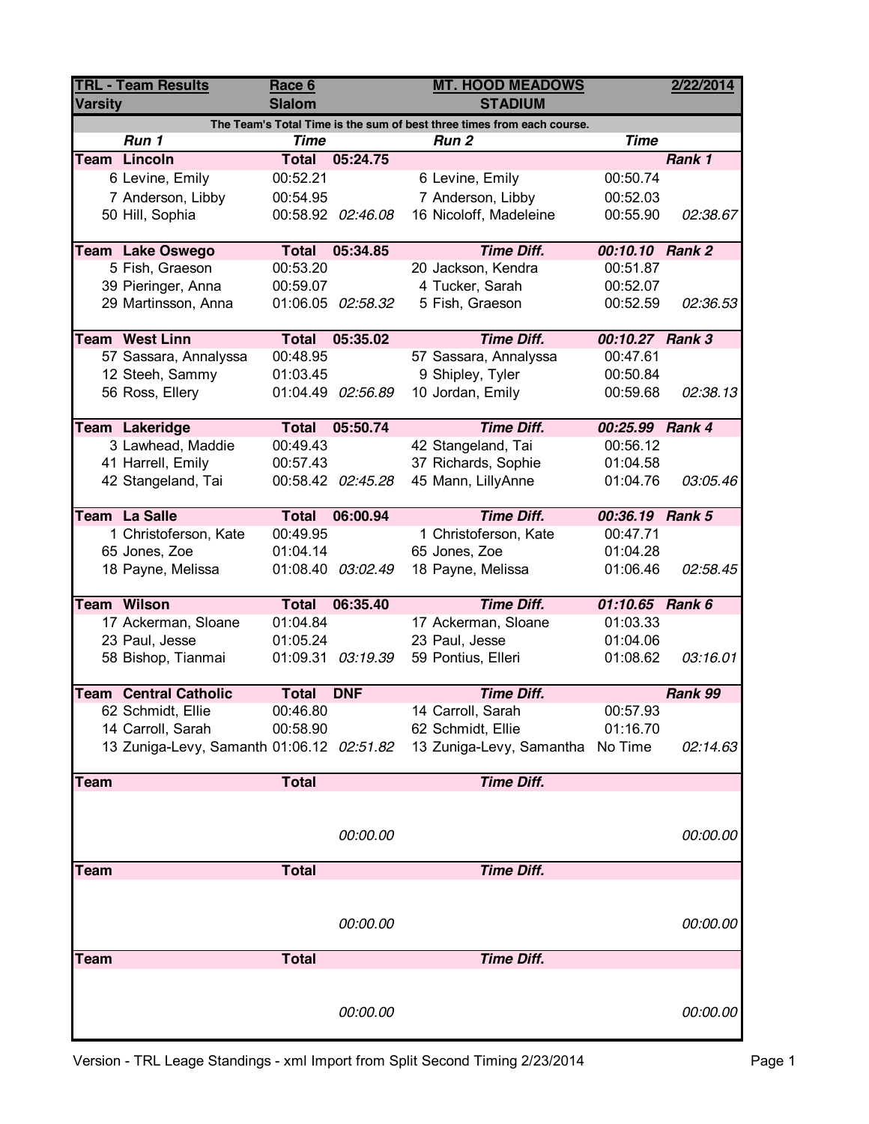| <b>TRL - Team Results</b> |                                           | Race 6               |                   | <b>MT. HOOD MEADOWS</b>                                                | 2/22/2014       |          |
|---------------------------|-------------------------------------------|----------------------|-------------------|------------------------------------------------------------------------|-----------------|----------|
| <b>Varsity</b>            |                                           | <b>Slalom</b>        |                   | <b>STADIUM</b>                                                         |                 |          |
|                           |                                           |                      |                   | The Team's Total Time is the sum of best three times from each course. |                 |          |
|                           | Run 1                                     | <b>Time</b>          |                   | Run <sub>2</sub>                                                       | <b>Time</b>     |          |
|                           | <b>Team Lincoln</b>                       | <b>Total</b>         | 05:24.75          |                                                                        |                 | Rank 1   |
|                           | 6 Levine, Emily                           | 00:52.21             |                   | 6 Levine, Emily                                                        | 00:50.74        |          |
|                           | 7 Anderson, Libby                         | 00:54.95             |                   | 7 Anderson, Libby                                                      | 00:52.03        |          |
|                           | 50 Hill, Sophia                           |                      | 00:58.92 02:46.08 | 16 Nicoloff, Madeleine                                                 | 00:55.90        | 02:38.67 |
|                           |                                           |                      |                   |                                                                        |                 |          |
|                           | <b>Team Lake Oswego</b>                   | <b>Total</b>         | 05:34.85          | <b>Time Diff.</b>                                                      | 00:10.10 Rank 2 |          |
|                           | 5 Fish, Graeson                           | 00:53.20             |                   | 20 Jackson, Kendra                                                     | 00:51.87        |          |
|                           | 39 Pieringer, Anna                        | 00:59.07             |                   | 4 Tucker, Sarah                                                        | 00:52.07        |          |
|                           | 29 Martinsson, Anna                       |                      | 01:06.05 02:58.32 | 5 Fish, Graeson                                                        | 00:52.59        | 02:36.53 |
|                           |                                           |                      |                   |                                                                        |                 |          |
|                           | <b>Team West Linn</b>                     | <b>Total</b>         | 05:35.02          | <b>Time Diff.</b>                                                      | 00:10.27 Rank 3 |          |
|                           | 57 Sassara, Annalyssa                     | 00:48.95<br>01:03.45 |                   | 57 Sassara, Annalyssa                                                  | 00:47.61        |          |
|                           | 12 Steeh, Sammy                           |                      |                   | 9 Shipley, Tyler                                                       | 00:50.84        |          |
|                           | 56 Ross, Ellery                           |                      | 01:04.49 02:56.89 | 10 Jordan, Emily                                                       | 00:59.68        | 02:38.13 |
|                           | <b>Team Lakeridge</b>                     | <b>Total</b>         | 05:50.74          | <b>Time Diff.</b>                                                      | 00:25.99 Rank 4 |          |
|                           | 3 Lawhead, Maddie                         | 00:49.43             |                   | 42 Stangeland, Tai                                                     | 00:56.12        |          |
|                           | 41 Harrell, Emily                         | 00:57.43             |                   | 37 Richards, Sophie                                                    | 01:04.58        |          |
|                           | 42 Stangeland, Tai                        |                      | 00:58.42 02:45.28 | 45 Mann, LillyAnne                                                     | 01:04.76        | 03:05.46 |
|                           |                                           |                      |                   |                                                                        |                 |          |
|                           | Team La Salle                             | <b>Total</b>         | 06:00.94          | <b>Time Diff.</b>                                                      | 00:36.19 Rank 5 |          |
|                           | 1 Christoferson, Kate                     | 00:49.95             |                   | 1 Christoferson, Kate                                                  | 00:47.71        |          |
|                           | 65 Jones, Zoe                             | 01:04.14             |                   | 65 Jones, Zoe                                                          | 01:04.28        |          |
|                           | 18 Payne, Melissa                         |                      | 01:08.40 03:02.49 | 18 Payne, Melissa                                                      | 01:06.46        | 02:58.45 |
|                           |                                           |                      |                   |                                                                        |                 |          |
|                           | <b>Team Wilson</b>                        | <b>Total</b>         | 06:35.40          | <b>Time Diff.</b>                                                      | 01:10.65 Rank 6 |          |
|                           | 17 Ackerman, Sloane                       | 01:04.84             |                   | 17 Ackerman, Sloane                                                    | 01:03.33        |          |
|                           | 23 Paul, Jesse                            | 01:05.24             |                   | 23 Paul, Jesse                                                         | 01:04.06        |          |
|                           | 58 Bishop, Tianmai                        |                      | 01:09.31 03:19.39 | 59 Pontius, Elleri                                                     | 01:08.62        | 03:16.01 |
|                           | <b>Team Central Catholic</b>              | <b>Total</b>         | <b>DNF</b>        | <b>Time Diff.</b>                                                      |                 | Rank 99  |
|                           | 62 Schmidt, Ellie                         | 00:46.80             |                   | 14 Carroll, Sarah                                                      | 00:57.93        |          |
|                           | 14 Carroll, Sarah                         | 00:58.90             |                   | 62 Schmidt, Ellie                                                      | 01:16.70        |          |
|                           | 13 Zuniga-Levy, Samanth 01:06.12 02:51.82 |                      |                   | 13 Zuniga-Levy, Samantha No Time                                       |                 | 02:14.63 |
|                           |                                           |                      |                   |                                                                        |                 |          |
| <b>Team</b>               |                                           | <b>Total</b>         |                   | <b>Time Diff.</b>                                                      |                 |          |
|                           |                                           |                      |                   |                                                                        |                 |          |
|                           |                                           |                      |                   |                                                                        |                 |          |
|                           |                                           |                      | 00:00.00          |                                                                        |                 | 00:00.00 |
|                           |                                           |                      |                   |                                                                        |                 |          |
| <b>Team</b>               |                                           | <b>Total</b>         |                   | <b>Time Diff.</b>                                                      |                 |          |
|                           |                                           |                      |                   |                                                                        |                 |          |
|                           |                                           |                      |                   |                                                                        |                 |          |
|                           |                                           |                      | 00:00.00          |                                                                        |                 | 00:00.00 |
|                           |                                           |                      |                   |                                                                        |                 |          |
| <b>Team</b>               |                                           | <b>Total</b>         |                   | <b>Time Diff.</b>                                                      |                 |          |
|                           |                                           |                      |                   |                                                                        |                 |          |
|                           |                                           |                      |                   |                                                                        |                 |          |
|                           |                                           |                      | 00:00.00          |                                                                        |                 | 00:00.00 |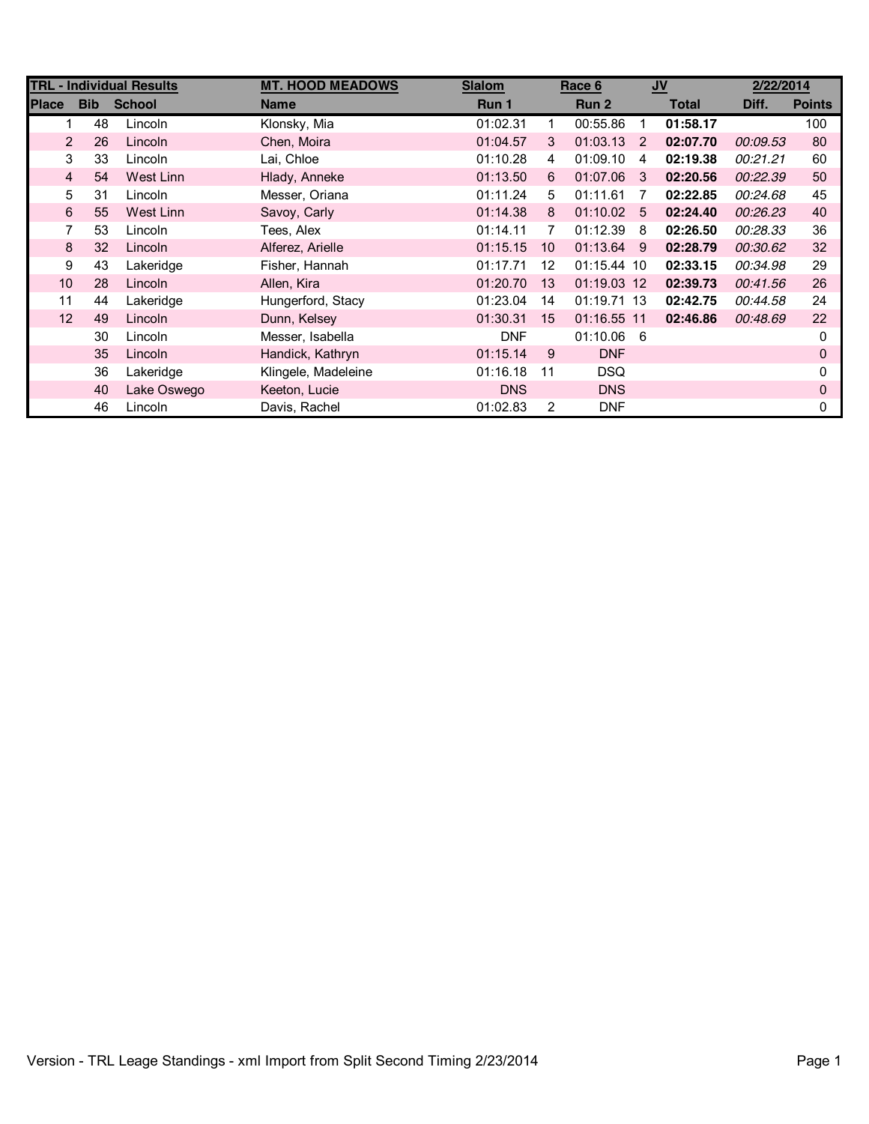| <b>TRL - Individual Results</b> |            |               | <b>MT. HOOD MEADOWS</b> | <b>Slalom</b> | Race 6         |              | $u$ |              | 2/22/2014 |               |
|---------------------------------|------------|---------------|-------------------------|---------------|----------------|--------------|-----|--------------|-----------|---------------|
| <b>Place</b>                    | <b>Bib</b> | <b>School</b> | <b>Name</b>             | Run 1         |                | Run 2        |     | <b>Total</b> | Diff.     | <b>Points</b> |
|                                 | 48         | Lincoln       | Klonsky, Mia            | 01:02.31      | 1              | 00:55.86     | 1   | 01:58.17     |           | 100           |
| $\overline{2}$                  | 26         | Lincoln       | Chen, Moira             | 01:04.57      | 3              | 01:03.13     | 2   | 02:07.70     | 00:09.53  | 80            |
| 3                               | 33         | Lincoln       | Lai, Chloe              | 01:10.28      | 4              | 01:09.10     | 4   | 02:19.38     | 00:21.21  | 60            |
| $\overline{4}$                  | 54         | West Linn     | Hlady, Anneke           | 01:13.50      | 6              | 01:07.06     | 3   | 02:20.56     | 00:22.39  | 50            |
| 5                               | 31         | Lincoln       | Messer, Oriana          | 01:11.24      | 5              | 01:11.61     | 7   | 02:22.85     | 00:24.68  | 45            |
| 6                               | 55         | West Linn     | Savoy, Carly            | 01:14.38      | 8              | $01:10.02$ 5 |     | 02:24.40     | 00:26.23  | 40            |
| 7                               | 53         | Lincoln       | Tees, Alex              | 01:14.11      | 7              | 01:12.39     | -8  | 02:26.50     | 00:28.33  | 36            |
| 8                               | 32         | Lincoln       | Alferez, Arielle        | 01:15.15      | 10             | 01:13.64     | -9  | 02:28.79     | 00:30.62  | 32            |
| 9                               | 43         | Lakeridge     | Fisher, Hannah          | 01:17.71      | 12             | 01:15.44 10  |     | 02:33.15     | 00:34.98  | 29            |
| 10                              | 28         | Lincoln       | Allen, Kira             | 01:20.70      | 13             | 01:19.03 12  |     | 02:39.73     | 00:41.56  | 26            |
| 11                              | 44         | Lakeridge     | Hungerford, Stacy       | 01:23.04      | 14             | 01:19.71 13  |     | 02:42.75     | 00:44.58  | 24            |
| 12                              | 49         | Lincoln       | Dunn, Kelsey            | 01:30.31      | 15             | 01:16.55 11  |     | 02:46.86     | 00:48.69  | 22            |
|                                 | 30         | Lincoln       | Messer, Isabella        | <b>DNF</b>    |                | 01:10.06     | - 6 |              |           | 0             |
|                                 | 35         | Lincoln       | Handick, Kathryn        | 01:15.14      | 9              | <b>DNF</b>   |     |              |           | 0             |
|                                 | 36         | Lakeridge     | Klingele, Madeleine     | 01:16.18      | 11             | <b>DSQ</b>   |     |              |           | 0             |
|                                 | 40         | Lake Oswego   | Keeton, Lucie           | <b>DNS</b>    |                | <b>DNS</b>   |     |              |           | 0             |
|                                 | 46         | Lincoln       | Davis, Rachel           | 01:02.83      | $\overline{2}$ | <b>DNF</b>   |     |              |           | 0             |